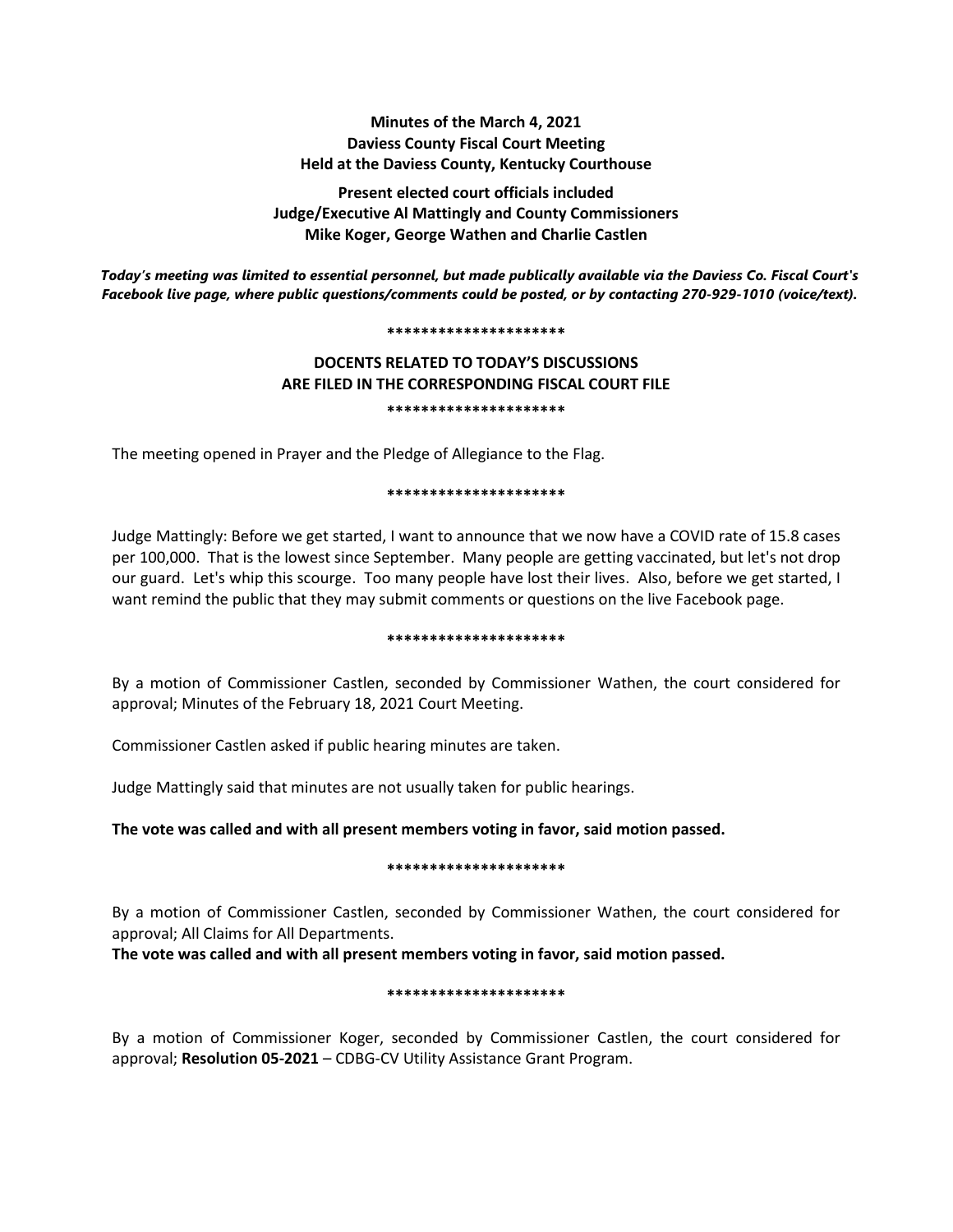# **Minutes of the March 4, 2021 Daviess County Fiscal Court Meeting Held at the Daviess County, Kentucky Courthouse**

**Present elected court officials included Judge/Executive Al Mattingly and County Commissioners Mike Koger, George Wathen and Charlie Castlen**

*Today's meeting was limited to essential personnel, but made publically available via the Daviess Co. Fiscal Court's Facebook live page, where public questions/comments could be posted, or by contacting 270-929-1010 (voice/text).*

#### **\*\*\*\*\*\*\*\*\*\*\*\*\*\*\*\*\*\*\*\*\***

# **DOCENTS RELATED TO TODAY'S DISCUSSIONS ARE FILED IN THE CORRESPONDING FISCAL COURT FILE \*\*\*\*\*\*\*\*\*\*\*\*\*\*\*\*\*\*\*\*\***

The meeting opened in Prayer and the Pledge of Allegiance to the Flag.

### **\*\*\*\*\*\*\*\*\*\*\*\*\*\*\*\*\*\*\*\*\***

Judge Mattingly: Before we get started, I want to announce that we now have a COVID rate of 15.8 cases per 100,000. That is the lowest since September. Many people are getting vaccinated, but let's not drop our guard. Let's whip this scourge. Too many people have lost their lives. Also, before we get started, I want remind the public that they may submit comments or questions on the live Facebook page.

### **\*\*\*\*\*\*\*\*\*\*\*\*\*\*\*\*\*\*\*\*\***

By a motion of Commissioner Castlen, seconded by Commissioner Wathen, the court considered for approval; Minutes of the February 18, 2021 Court Meeting.

Commissioner Castlen asked if public hearing minutes are taken.

Judge Mattingly said that minutes are not usually taken for public hearings.

**The vote was called and with all present members voting in favor, said motion passed.** 

# **\*\*\*\*\*\*\*\*\*\*\*\*\*\*\*\*\*\*\*\*\***

By a motion of Commissioner Castlen, seconded by Commissioner Wathen, the court considered for approval; All Claims for All Departments.

**The vote was called and with all present members voting in favor, said motion passed.** 

# **\*\*\*\*\*\*\*\*\*\*\*\*\*\*\*\*\*\*\*\*\***

By a motion of Commissioner Koger, seconded by Commissioner Castlen, the court considered for approval; **Resolution 05-2021** – CDBG-CV Utility Assistance Grant Program.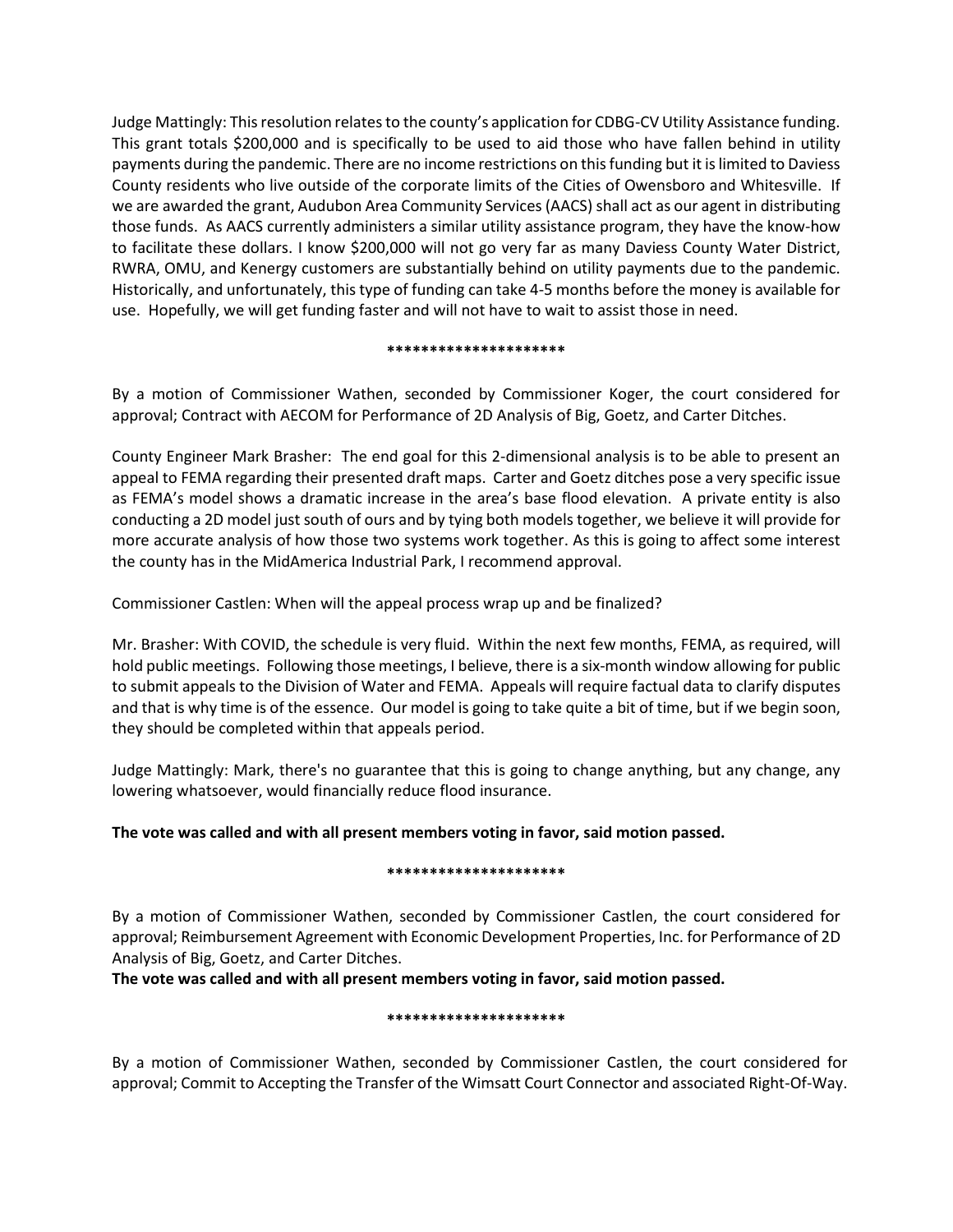Judge Mattingly: This resolution relates to the county's application for CDBG-CV Utility Assistance funding. This grant totals \$200,000 and is specifically to be used to aid those who have fallen behind in utility payments during the pandemic. There are no income restrictions on this funding but it is limited to Daviess County residents who live outside of the corporate limits of the Cities of Owensboro and Whitesville. If we are awarded the grant, Audubon Area Community Services (AACS) shall act as our agent in distributing those funds. As AACS currently administers a similar utility assistance program, they have the know-how to facilitate these dollars. I know \$200,000 will not go very far as many Daviess County Water District, RWRA, OMU, and Kenergy customers are substantially behind on utility payments due to the pandemic. Historically, and unfortunately, this type of funding can take 4-5 months before the money is available for use. Hopefully, we will get funding faster and will not have to wait to assist those in need.

### **\*\*\*\*\*\*\*\*\*\*\*\*\*\*\*\*\*\*\*\*\***

By a motion of Commissioner Wathen, seconded by Commissioner Koger, the court considered for approval; Contract with AECOM for Performance of 2D Analysis of Big, Goetz, and Carter Ditches.

County Engineer Mark Brasher: The end goal for this 2-dimensional analysis is to be able to present an appeal to FEMA regarding their presented draft maps. Carter and Goetz ditches pose a very specific issue as FEMA's model shows a dramatic increase in the area's base flood elevation. A private entity is also conducting a 2D model just south of ours and by tying both models together, we believe it will provide for more accurate analysis of how those two systems work together. As this is going to affect some interest the county has in the MidAmerica Industrial Park, I recommend approval.

Commissioner Castlen: When will the appeal process wrap up and be finalized?

Mr. Brasher: With COVID, the schedule is very fluid. Within the next few months, FEMA, as required, will hold public meetings. Following those meetings, I believe, there is a six-month window allowing for public to submit appeals to the Division of Water and FEMA. Appeals will require factual data to clarify disputes and that is why time is of the essence. Our model is going to take quite a bit of time, but if we begin soon, they should be completed within that appeals period.

Judge Mattingly: Mark, there's no guarantee that this is going to change anything, but any change, any lowering whatsoever, would financially reduce flood insurance.

# **The vote was called and with all present members voting in favor, said motion passed.**

# **\*\*\*\*\*\*\*\*\*\*\*\*\*\*\*\*\*\*\*\*\***

By a motion of Commissioner Wathen, seconded by Commissioner Castlen, the court considered for approval; Reimbursement Agreement with Economic Development Properties, Inc. for Performance of 2D Analysis of Big, Goetz, and Carter Ditches.

**The vote was called and with all present members voting in favor, said motion passed.**

# **\*\*\*\*\*\*\*\*\*\*\*\*\*\*\*\*\*\*\*\*\***

By a motion of Commissioner Wathen, seconded by Commissioner Castlen, the court considered for approval; Commit to Accepting the Transfer of the Wimsatt Court Connector and associated Right-Of-Way.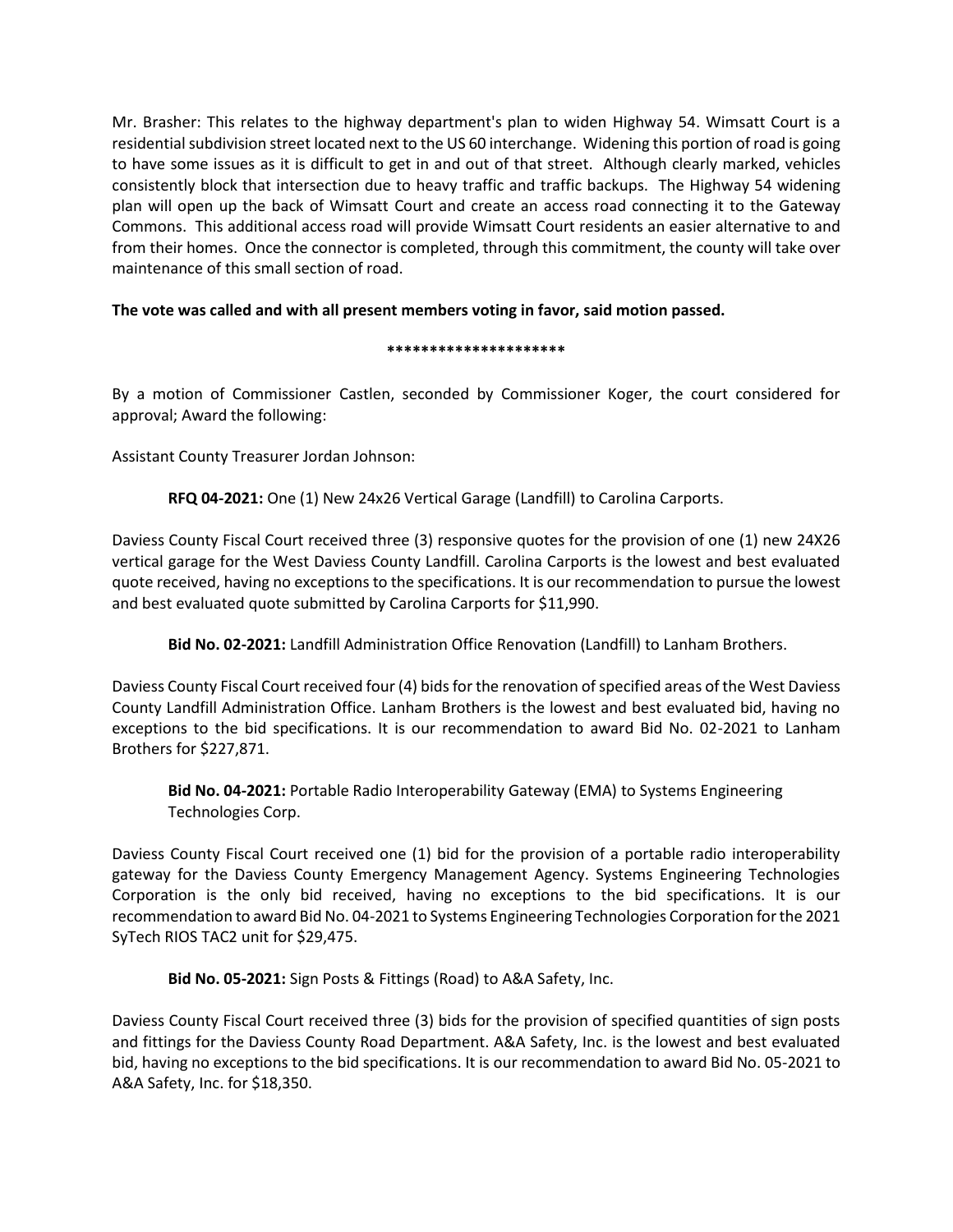Mr. Brasher: This relates to the highway department's plan to widen Highway 54. Wimsatt Court is a residential subdivision street located next to the US 60 interchange. Widening this portion of road is going to have some issues as it is difficult to get in and out of that street. Although clearly marked, vehicles consistently block that intersection due to heavy traffic and traffic backups. The Highway 54 widening plan will open up the back of Wimsatt Court and create an access road connecting it to the Gateway Commons. This additional access road will provide Wimsatt Court residents an easier alternative to and from their homes. Once the connector is completed, through this commitment, the county will take over maintenance of this small section of road.

# **The vote was called and with all present members voting in favor, said motion passed.**

# **\*\*\*\*\*\*\*\*\*\*\*\*\*\*\*\*\*\*\*\*\***

By a motion of Commissioner Castlen, seconded by Commissioner Koger, the court considered for approval; Award the following:

Assistant County Treasurer Jordan Johnson:

**RFQ 04-2021:** One (1) New 24x26 Vertical Garage (Landfill) to Carolina Carports.

Daviess County Fiscal Court received three (3) responsive quotes for the provision of one (1) new 24X26 vertical garage for the West Daviess County Landfill. Carolina Carports is the lowest and best evaluated quote received, having no exceptions to the specifications. It is our recommendation to pursue the lowest and best evaluated quote submitted by Carolina Carports for \$11,990.

**Bid No. 02-2021:** Landfill Administration Office Renovation (Landfill) to Lanham Brothers.

Daviess County Fiscal Court received four (4) bids for the renovation of specified areas of the West Daviess County Landfill Administration Office. Lanham Brothers is the lowest and best evaluated bid, having no exceptions to the bid specifications. It is our recommendation to award Bid No. 02-2021 to Lanham Brothers for \$227,871.

**Bid No. 04-2021:** Portable Radio Interoperability Gateway (EMA) to Systems Engineering Technologies Corp.

Daviess County Fiscal Court received one (1) bid for the provision of a portable radio interoperability gateway for the Daviess County Emergency Management Agency. Systems Engineering Technologies Corporation is the only bid received, having no exceptions to the bid specifications. It is our recommendation to award Bid No. 04-2021 to Systems Engineering Technologies Corporation for the 2021 SyTech RIOS TAC2 unit for \$29,475.

**Bid No. 05-2021:** Sign Posts & Fittings (Road) to A&A Safety, Inc.

Daviess County Fiscal Court received three (3) bids for the provision of specified quantities of sign posts and fittings for the Daviess County Road Department. A&A Safety, Inc. is the lowest and best evaluated bid, having no exceptions to the bid specifications. It is our recommendation to award Bid No. 05-2021 to A&A Safety, Inc. for \$18,350.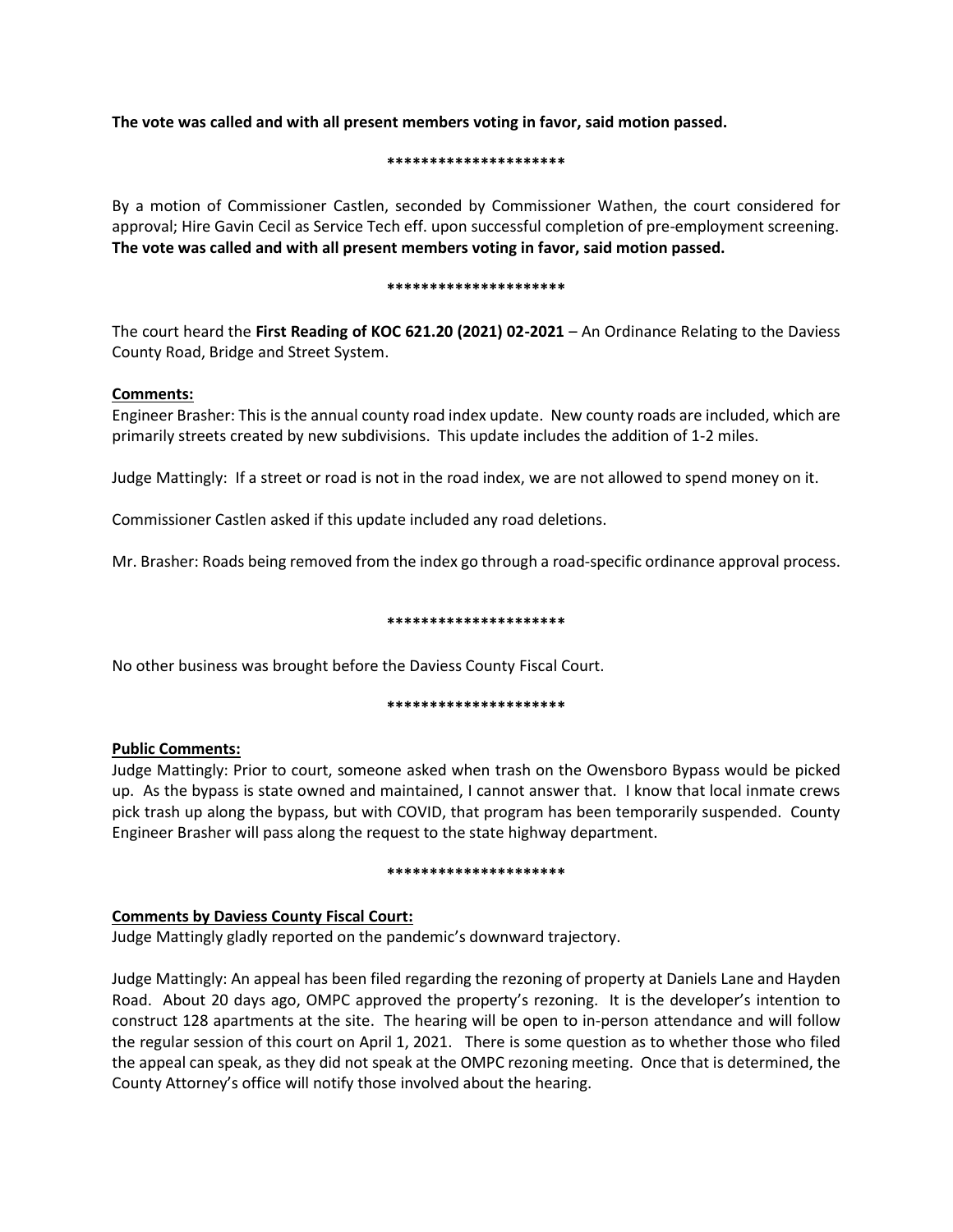**The vote was called and with all present members voting in favor, said motion passed.**

## **\*\*\*\*\*\*\*\*\*\*\*\*\*\*\*\*\*\*\*\*\***

By a motion of Commissioner Castlen, seconded by Commissioner Wathen, the court considered for approval; Hire Gavin Cecil as Service Tech eff. upon successful completion of pre-employment screening. **The vote was called and with all present members voting in favor, said motion passed.**

### **\*\*\*\*\*\*\*\*\*\*\*\*\*\*\*\*\*\*\*\*\***

The court heard the **First Reading of KOC 621.20 (2021) 02-2021** – An Ordinance Relating to the Daviess County Road, Bridge and Street System.

# **Comments:**

Engineer Brasher: This is the annual county road index update. New county roads are included, which are primarily streets created by new subdivisions. This update includes the addition of 1-2 miles.

Judge Mattingly: If a street or road is not in the road index, we are not allowed to spend money on it.

Commissioner Castlen asked if this update included any road deletions.

Mr. Brasher: Roads being removed from the index go through a road-specific ordinance approval process.

# **\*\*\*\*\*\*\*\*\*\*\*\*\*\*\*\*\*\*\*\*\***

No other business was brought before the Daviess County Fiscal Court.

# **\*\*\*\*\*\*\*\*\*\*\*\*\*\*\*\*\*\*\*\*\***

# **Public Comments:**

Judge Mattingly: Prior to court, someone asked when trash on the Owensboro Bypass would be picked up. As the bypass is state owned and maintained, I cannot answer that. I know that local inmate crews pick trash up along the bypass, but with COVID, that program has been temporarily suspended. County Engineer Brasher will pass along the request to the state highway department.

### **\*\*\*\*\*\*\*\*\*\*\*\*\*\*\*\*\*\*\*\*\***

# **Comments by Daviess County Fiscal Court:**

Judge Mattingly gladly reported on the pandemic's downward trajectory.

Judge Mattingly: An appeal has been filed regarding the rezoning of property at Daniels Lane and Hayden Road. About 20 days ago, OMPC approved the property's rezoning. It is the developer's intention to construct 128 apartments at the site. The hearing will be open to in-person attendance and will follow the regular session of this court on April 1, 2021. There is some question as to whether those who filed the appeal can speak, as they did not speak at the OMPC rezoning meeting. Once that is determined, the County Attorney's office will notify those involved about the hearing.